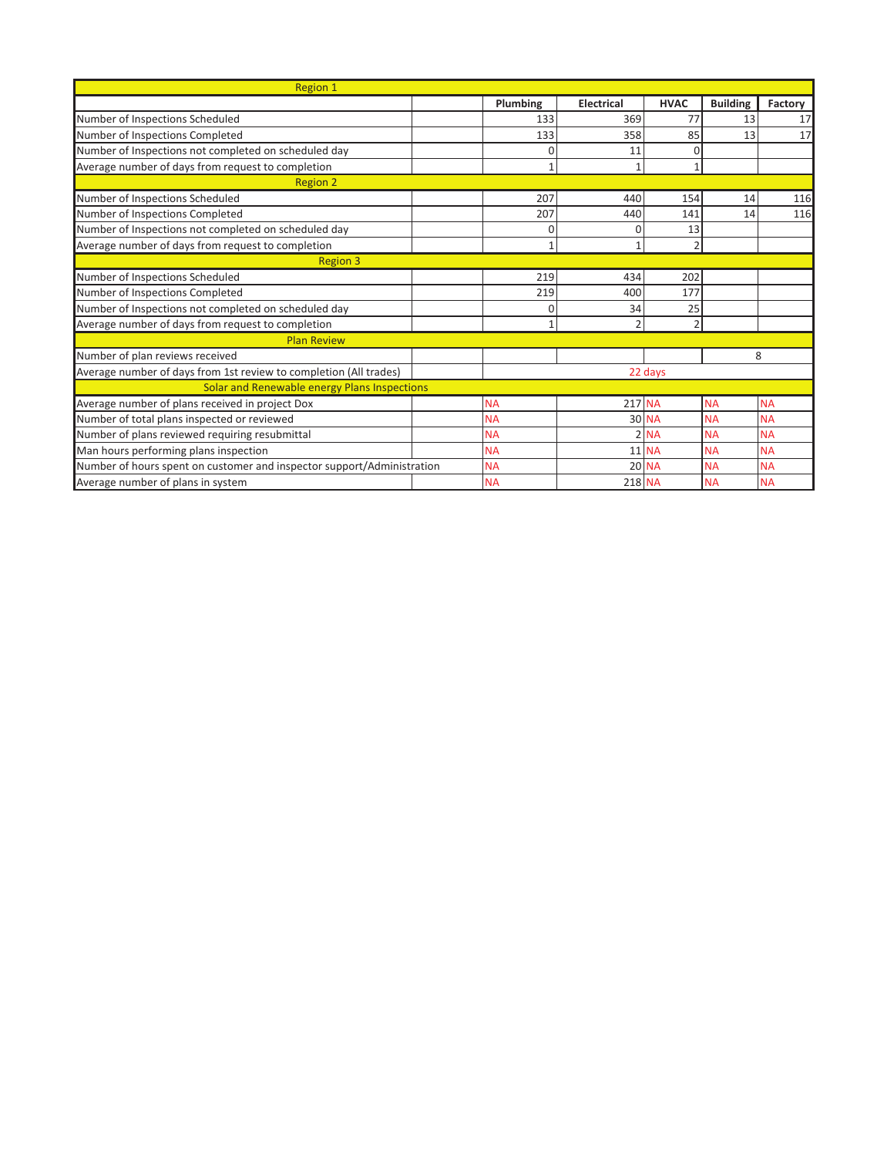| Region 1                                                               |  |                |                   |               |                 |           |
|------------------------------------------------------------------------|--|----------------|-------------------|---------------|-----------------|-----------|
|                                                                        |  | Plumbing       | <b>Electrical</b> | <b>HVAC</b>   | <b>Building</b> | Factory   |
| Number of Inspections Scheduled                                        |  | 133            | 369               | 77            | 13              | 17        |
| Number of Inspections Completed                                        |  | 133            | 358               | 85            | 13              | 17        |
| Number of Inspections not completed on scheduled day                   |  | 0              | 11                | $\Omega$      |                 |           |
| Average number of days from request to completion                      |  | $\mathbf{1}$   | 1                 |               |                 |           |
| <b>Region 2</b>                                                        |  |                |                   |               |                 |           |
| Number of Inspections Scheduled                                        |  | 207            | 440               | 154           | 14              | 116       |
| Number of Inspections Completed                                        |  | 207            | 440               | 141           | 14              | 116       |
| Number of Inspections not completed on scheduled day                   |  | 0              | 0                 | 13            |                 |           |
| Average number of days from request to completion                      |  | $\mathbf{1}$   | 1                 | $\mathfrak z$ |                 |           |
| <b>Region 3</b>                                                        |  |                |                   |               |                 |           |
| Number of Inspections Scheduled                                        |  | 219            | 434               | 202           |                 |           |
| Number of Inspections Completed                                        |  | 219            | 400               | 177           |                 |           |
| Number of Inspections not completed on scheduled day                   |  | $\Omega$       | 34                | 25            |                 |           |
| Average number of days from request to completion                      |  | $\overline{1}$ | $\overline{2}$    | っ             |                 |           |
| <b>Plan Review</b>                                                     |  |                |                   |               |                 |           |
| Number of plan reviews received                                        |  |                |                   |               |                 | 8         |
| Average number of days from 1st review to completion (All trades)      |  | 22 days        |                   |               |                 |           |
| Solar and Renewable energy Plans Inspections                           |  |                |                   |               |                 |           |
| Average number of plans received in project Dox                        |  | <b>NA</b>      | $217$ NA          |               | <b>NA</b>       | <b>NA</b> |
| Number of total plans inspected or reviewed                            |  | <b>NA</b>      |                   | 30 NA         | <b>NA</b>       | <b>NA</b> |
| Number of plans reviewed requiring resubmittal                         |  | <b>NA</b>      |                   | $2$ NA        | <b>NA</b>       | <b>NA</b> |
| Man hours performing plans inspection                                  |  | <b>NA</b>      |                   | <b>11 NA</b>  | <b>NA</b>       | <b>NA</b> |
| Number of hours spent on customer and inspector support/Administration |  | <b>NA</b>      |                   | 20 NA         | <b>NA</b>       | <b>NA</b> |
| Average number of plans in system                                      |  | <b>NA</b>      | 218 NA            |               | <b>NA</b>       | <b>NA</b> |